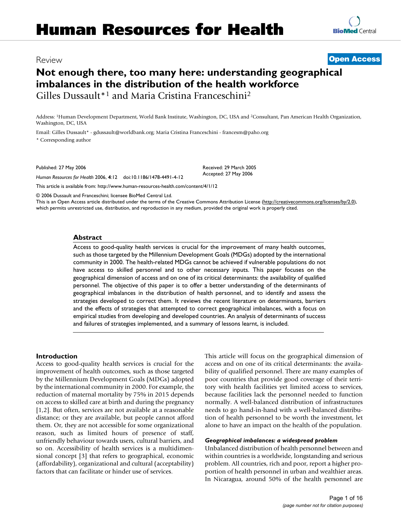# Review **[Open Access](http://www.biomedcentral.com/info/about/charter/)**

# **Not enough there, too many here: understanding geographical imbalances in the distribution of the health workforce** Gilles Dussault\*1 and Maria Cristina Franceschini2

Address: 1Human Development Department, World Bank Institute, Washington, DC, USA and 2Consultant, Pan American Health Organization, Washington, DC, USA

> Received: 29 March 2005 Accepted: 27 May 2006

Email: Gilles Dussault\* - gdussault@worldbank.org; Maria Cristina Franceschini - francesm@paho.org \* Corresponding author

Published: 27 May 2006

*Human Resources for Health* 2006, **4**:12 doi:10.1186/1478-4491-4-12

[This article is available from: http://www.human-resources-health.com/content/4/1/12](http://www.human-resources-health.com/content/4/1/12)

© 2006 Dussault and Franceschini; licensee BioMed Central Ltd.

This is an Open Access article distributed under the terms of the Creative Commons Attribution License [\(http://creativecommons.org/licenses/by/2.0\)](http://creativecommons.org/licenses/by/2.0), which permits unrestricted use, distribution, and reproduction in any medium, provided the original work is properly cited.

## **Abstract**

Access to good-quality health services is crucial for the improvement of many health outcomes, such as those targeted by the Millennium Development Goals (MDGs) adopted by the international community in 2000. The health-related MDGs cannot be achieved if vulnerable populations do not have access to skilled personnel and to other necessary inputs. This paper focuses on the geographical dimension of access and on one of its critical determinants: the availability of qualified personnel. The objective of this paper is to offer a better understanding of the determinants of geographical imbalances in the distribution of health personnel, and to identify and assess the strategies developed to correct them. It reviews the recent literature on determinants, barriers and the effects of strategies that attempted to correct geographical imbalances, with a focus on empirical studies from developing and developed countries. An analysis of determinants of success and failures of strategies implemented, and a summary of lessons learnt, is included.

## **Introduction**

Access to good-quality health services is crucial for the improvement of health outcomes, such as those targeted by the Millennium Development Goals (MDGs) adopted by the international community in 2000. For example, the reduction of maternal mortality by 75% in 2015 depends on access to skilled care at birth and during the pregnancy [1,2]. But often, services are not available at a reasonable distance; or they are available, but people cannot afford them. Or, they are not accessible for some organizational reason, such as limited hours of presence of staff, unfriendly behaviour towards users, cultural barriers, and so on. Accessibility of health services is a multidimensional concept [3] that refers to geographical, economic (affordability), organizational and cultural (acceptability) factors that can facilitate or hinder use of services.

This article will focus on the geographical dimension of access and on one of its critical determinants: the availability of qualified personnel. There are many examples of poor countries that provide good coverage of their territory with health facilities yet limited access to services, because facilities lack the personnel needed to function normally. A well-balanced distribution of infrastructures needs to go hand-in-hand with a well-balanced distribution of health personnel to be worth the investment, let alone to have an impact on the health of the population.

#### *Geographical imbalances: a widespread problem*

Unbalanced distribution of health personnel between and within countries is a worldwide, longstanding and serious problem. All countries, rich and poor, report a higher proportion of health personnel in urban and wealthier areas. In Nicaragua, around 50% of the health personnel are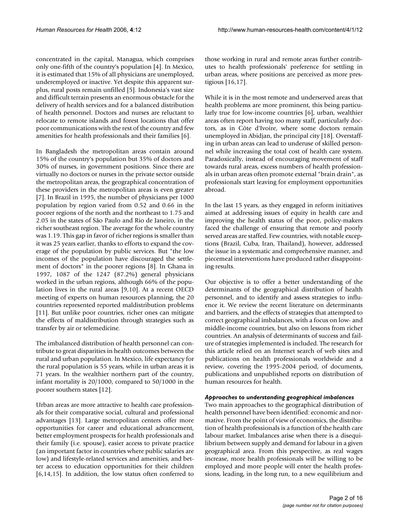concentrated in the capital, Managua, which comprises only one-fifth of the country's population [4]. In Mexico, it is estimated that 15% of all physicians are unemployed, underemployed or inactive. Yet despite this apparent surplus, rural posts remain unfilled [5]. Indonesia's vast size and difficult terrain presents an enormous obstacle for the delivery of health services and for a balanced distribution of health personnel. Doctors and nurses are reluctant to relocate to remote islands and forest locations that offer poor communications with the rest of the country and few amenities for health professionals and their families [6].

In Bangladesh the metropolitan areas contain around 15% of the country's population but 35% of doctors and 30% of nurses, in government positions. Since there are virtually no doctors or nurses in the private sector outside the metropolitan areas, the geographical concentration of these providers in the metropolitan areas is even greater [7]. In Brazil in 1995, the number of physicians per 1000 population by region varied from 0.52 and 0.66 in the poorer regions of the north and the northeast to 1.75 and 2.05 in the states of São Paulo and Rio de Janeiro, in the richer southeast region. The average for the whole country was 1.19. This gap in favor of richer regions is smaller than it was 25 years earlier, thanks to efforts to expand the coverage of the population by public services. But "the low incomes of the population have discouraged the settlement of doctors" in the poorer regions [8]. In Ghana in 1997, 1087 of the 1247 (87.2%) general physicians worked in the urban regions, although 66% of the population lives in the rural areas [9,10]. At a recent OECD meeting of experts on human resources planning, the 20 countries represented reported maldistribution problems [11]. But unlike poor countries, richer ones can mitigate the effects of maldistribution through strategies such as transfer by air or telemedicine.

The imbalanced distribution of health personnel can contribute to great disparities in health outcomes between the rural and urban population. In Mexico, life expectancy for the rural population is 55 years, while in urban areas it is 71 years. In the wealthier northern part of the country, infant mortality is 20/1000, compared to 50/1000 in the poorer southern states [12].

Urban areas are more attractive to health care professionals for their comparative social, cultural and professional advantages [13]. Large metropolitan centers offer more opportunities for career and educational advancement, better employment prospects for health professionals and their family (i.e. spouse), easier access to private practice (an important factor in countries where public salaries are low) and lifestyle-related services and amenities, and better access to education opportunities for their children [6,14,15]. In addition, the low status often conferred to

those working in rural and remote areas further contributes to health professionals' preference for settling in urban areas, where positions are perceived as more prestigious [16,17].

While it is in the most remote and underserved areas that health problems are more prominent, this being particularly true for low-income countries [6], urban, wealthier areas often report having too many staff, particularly doctors, as in Côte d'Ivoire, where some doctors remain unemployed in Abidjan, the principal city [18]. Overstaffing in urban areas can lead to underuse of skilled personnel while increasing the total cost of health care system. Paradoxically, instead of encouraging movement of staff towards rural areas, excess numbers of health professionals in urban areas often promote external "brain drain", as professionals start leaving for employment opportunities abroad.

In the last 15 years, as they engaged in reform initiatives aimed at addressing issues of equity in health care and improving the health status of the poor, policy-makers faced the challenge of ensuring that remote and poorly served areas are staffed. Few countries, with notable exceptions (Brazil, Cuba, Iran, Thailand), however, addressed the issue in a systematic and comprehensive manner, and piecemeal interventions have produced rather disappointing results.

Our objective is to offer a better understanding of the determinants of the geographical distribution of health personnel, and to identify and assess strategies to influence it. We review the recent literature on determinants and barriers, and the effects of strategies that attempted to correct geographical imbalances, with a focus on low- and middle-income countries, but also on lessons from richer countries. An analysis of determinants of success and failure of strategies implemented is included. The research for this article relied on an Internet search of web sites and publications on health professionals worldwide and a review, covering the 1995-2004 period, of documents, publications and unpublished reports on distribution of human resources for health.

#### *Approaches to understanding geographical imbalances*

Two main approaches to the geographical distribution of health personnel have been identified: economic and normative. From the point of view of economics, the distribution of health professionals is a function of the health care labour market. Imbalances arise when there is a disequilibrium between supply and demand for labour in a given geographical area. From this perspective, as real wages increase, more health professionals will be willing to be employed and more people will enter the health professions, leading, in the long run, to a new equilibrium and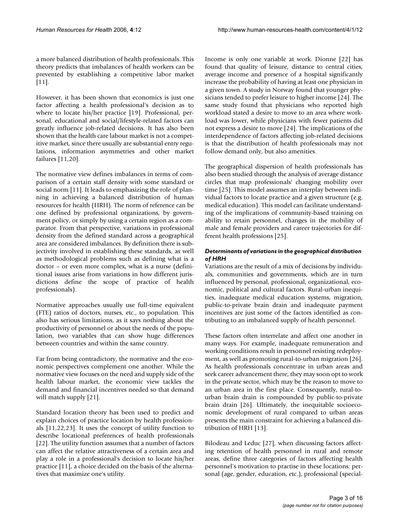a more balanced distribution of health professionals. This theory predicts that imbalances of health workers can be prevented by establishing a competitive labor market [11].

However, it has been shown that economics is just one factor affecting a health professional's decision as to where to locate his/her practice [19]. Professional, personal, educational and social/lifestyle-related factors can greatly influence job-related decisions. It has also been shown that the health care labour market is not a competitive market, since there usually are substantial entry regulations, information asymmetries and other market failures [11,20].

The normative view defines imbalances in terms of comparison of a certain staff density with some standard or social norm [11]. It leads to emphasizing the role of planning in achieving a balanced distribution of human resources for health (HRH). The norm of reference can be one defined by professional organizations, by government policy, or simply by using a certain region as a comparator. From that perspective, variations in professional density from the defined standard across a geographical area are considered imbalances. By definition there is subjectivity involved in establishing these standards, as well as methodological problems such as defining what is a doctor – or even more complex, what is a nurse (definitional issues arise from variations in how different jurisdictions define the scope of practice of health professionals).

Normative approaches usually use full-time equivalent (FTE) ratios of doctors, nurses, etc., to population. This also has serious limitations, as it says nothing about the productivity of personnel or about the needs of the population, two variables that can show huge differences between countries and within the same country.

Far from being contradictory, the normative and the economic perspectives complement one another. While the normative view focuses on the need and supply side of the health labour market, the economic view tackles the demand and financial incentives needed so that demand will match supply [21].

Standard location theory has been used to predict and explain choices of practice location by health professionals [11,22,23]. It uses the concept of utility function to describe locational preferences of health professionals [22]. The utility function assumes that a number of factors can affect the relative attractiveness of a certain area and play a role in a professional's decision to locate his/her practice [11], a choice decided on the basis of the alternatives that maximize one's utility.

Income is only one variable at work. Dionne [22] has found that quality of leisure, distance to central cities, average income and presence of a hospital significantly increase the probability of having at least one physician in a given town. A study in Norway found that younger physicians tended to prefer leisure to higher income [24]. The same study found that physicians who reported high workload stated a desire to move to an area where workload was lower, while physicians with fewer patients did not express a desire to move [24]. The implications of the interdependence of factors affecting job-related decisions is that the distribution of health professionals may not follow demand only, but also amenities.

The geographical dispersion of health professionals has also been studied through the analysis of average distance circles that map professionals' changing mobility over time [25]. This model assumes an interplay between individual factors to locate practice and a given structure (e.g. medical education). This model can facilitate understanding of the implications of community-based training on ability to retain personnel, changes in the mobility of male and female providers and career trajectories for different health professions [25].

# *Determinants of variations in the geographical distribution of HRH*

Variations are the result of a mix of decisions by individuals, communities and governments, which are in turn influenced by personal, professional, organizational, economic, political and cultural factors. Rural-urban inequities, inadequate medical education systems, migration, public-to-private brain drain and inadequate payment incentives are just some of the factors identified as contributing to an imbalanced supply of health personnel.

These factors often interrelate and affect one another in many ways. For example, inadequate remuneration and working conditions result in personnel resisting redeployment, as well as promoting rural-to-urban migration [26]. As health professionals concentrate in urban areas and seek career advancement there, they may soon opt to work in the private sector, which may be the reason to move to an urban area in the first place. Consequently, rural-tourban brain drain is compounded by public-to-private brain drain [26]. Ultimately, the inequitable socioeconomic development of rural compared to urban areas presents the main constraint for achieving a balanced distribution of HRH [13].

Bilodeau and Leduc [27], when discussing factors affecting retention of health personnel in rural and remote areas, define three categories of factors affecting health personnel's motivation to practise in these locations: personal (age, gender, education, etc.), professional (special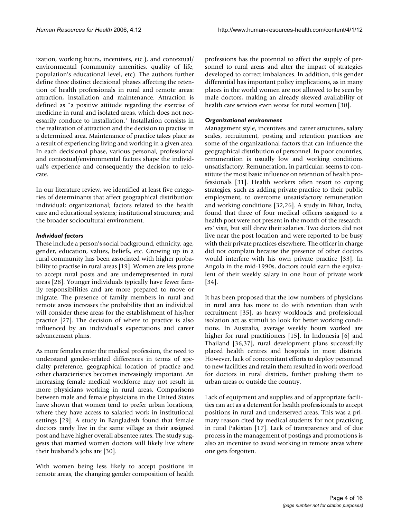ization, working hours, incentives, etc.), and contextual/ environmental (community amenities, quality of life, population's educational level, etc). The authors further define three distinct decisional phases affecting the retention of health professionals in rural and remote areas: attraction, installation and maintenance. Attraction is defined as "a positive attitude regarding the exercise of medicine in rural and isolated areas, which does not necessarily conduce to installation." Installation consists in the realization of attraction and the decision to practise in a determined area. Maintenance of practice takes place as a result of experiencing living and working in a given area. In each decisional phase, various personal, professional and contextual/environmental factors shape the individual's experience and consequently the decision to relocate.

In our literature review, we identified at least five categories of determinants that affect geographical distribution: individual; organizational; factors related to the health care and educational systems; institutional structures; and the broader sociocultural environment.

## *Individual factors*

These include a person's social background, ethnicity, age, gender, education, values, beliefs, etc. Growing up in a rural community has been associated with higher probability to practise in rural areas [19]. Women are less prone to accept rural posts and are underrepresented in rural areas [28]. Younger individuals typically have fewer family responsibilities and are more prepared to move or migrate. The presence of family members in rural and remote areas increases the probability that an individual will consider these areas for the establishment of his/her practice [27]. The decision of where to practice is also influenced by an individual's expectations and career advancement plans.

As more females enter the medical profession, the need to understand gender-related differences in terms of specialty preference, geographical location of practice and other characteristics becomes increasingly important. An increasing female medical workforce may not result in more physicians working in rural areas. Comparisons between male and female physicians in the United States have shown that women tend to prefer urban locations, where they have access to salaried work in institutional settings [29]. A study in Bangladesh found that female doctors rarely live in the same village as their assigned post and have higher overall absentee rates. The study suggests that married women doctors will likely live where their husband's jobs are [30].

With women being less likely to accept positions in remote areas, the changing gender composition of health

professions has the potential to affect the supply of personnel to rural areas and alter the impact of strategies developed to correct imbalances. In addition, this gender differential has important policy implications, as in many places in the world women are not allowed to be seen by male doctors, making an already skewed availability of health care services even worse for rural women [30].

## *Organizational environment*

Management style, incentives and career structures, salary scales, recruitment, posting and retention practices are some of the organizational factors that can influence the geographical distribution of personnel. In poor countries, remuneration is usually low and working conditions unsatisfactory. Remuneration, in particular, seems to constitute the most basic influence on retention of health professionals [31]. Health workers often resort to coping strategies, such as adding private practice to their public employment, to overcome unsatisfactory remuneration and working conditions [32,26]. A study in Bihar, India, found that three of four medical officers assigned to a health post were not present in the month of the researchers' visit, but still drew their salaries. Two doctors did not live near the post location and were reported to be busy with their private practices elsewhere. The officer in charge did not complain because the presence of other doctors would interfere with his own private practice [33]. In Angola in the mid-1990s, doctors could earn the equivalent of their weekly salary in one hour of private work [34].

It has been proposed that the low numbers of physicians in rural area has more to do with retention than with recruitment [35], as heavy workloads and professional isolation act as stimuli to look for better working conditions. In Australia, average weekly hours worked are higher for rural practitioners [15]. In Indonesia [6] and Thailand [36,37], rural development plans successfully placed health centres and hospitals in most districts. However, lack of concomitant efforts to deploy personnel to new facilities and retain them resulted in work overload for doctors in rural districts, further pushing them to urban areas or outside the country.

Lack of equipment and supplies and of appropriate facilities can act as a deterrent for health professionals to accept positions in rural and underserved areas. This was a primary reason cited by medical students for not practising in rural Pakistan [17]. Lack of transparency and of due process in the management of postings and promotions is also an incentive to avoid working in remote areas where one gets forgotten.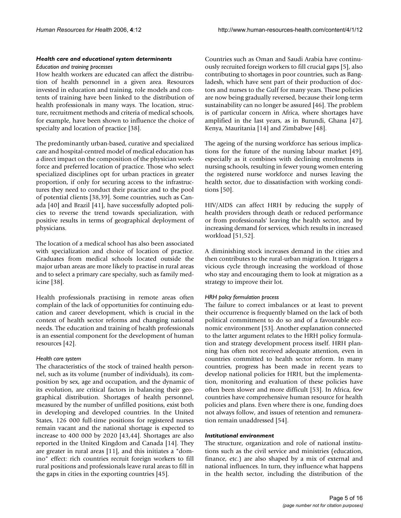## *Health care and educational system determinants Education and training processes*

How health workers are educated can affect the distribution of health personnel in a given area. Resources invested in education and training, role models and contents of training have been linked to the distribution of health professionals in many ways. The location, structure, recruitment methods and criteria of medical schools, for example, have been shown to influence the choice of specialty and location of practice [38].

The predominantly urban-based, curative and specialized care and hospital-centred model of medical education has a direct impact on the composition of the physician workforce and preferred location of practice. Those who select specialized disciplines opt for urban practices in greater proportion, if only for securing access to the infrastructures they need to conduct their practice and to the pool of potential clients [38,39]. Some countries, such as Canada [40] and Brazil [41], have successfully adopted policies to reverse the trend towards specialization, with positive results in terms of geographical deployment of physicians.

The location of a medical school has also been associated with specialization and choice of location of practice. Graduates from medical schools located outside the major urban areas are more likely to practise in rural areas and to select a primary care specialty, such as family medicine [38].

Health professionals practising in remote areas often complain of the lack of opportunities for continuing education and career development, which is crucial in the context of health sector reforms and changing national needs. The education and training of health professionals is an essential component for the development of human resources [42].

## *Health care system*

The characteristics of the stock of trained health personnel, such as its volume (number of individuals), its composition by sex, age and occupation, and the dynamic of its evolution, are critical factors in balancing their geographical distribution. Shortages of health personnel, measured by the number of unfilled positions, exist both in developing and developed countries. In the United States, 126 000 full-time positions for registered nurses remain vacant and the national shortage is expected to increase to 400 000 by 2020 [43,44]. Shortages are also reported in the United Kingdom and Canada [14]. They are greater in rural areas [11], and this initiates a "domino" effect: rich countries recruit foreign workers to fill rural positions and professionals leave rural areas to fill in the gaps in cities in the exporting countries [45].

Countries such as Oman and Saudi Arabia have continuously recruited foreign workers to fill crucial gaps [5], also contributing to shortages in poor countries, such as Bangladesh, which have sent part of their production of doctors and nurses to the Gulf for many years. These policies are now being gradually reversed, because their long-term sustainability can no longer be assured [46]. The problem is of particular concern in Africa, where shortages have amplified in the last years, as in Burundi, Ghana [47], Kenya, Mauritania [14] and Zimbabwe [48].

The ageing of the nursing workforce has serious implications for the future of the nursing labour market [49], especially as it combines with declining enrolments in nursing schools, resulting in fewer young women entering the registered nurse workforce and nurses leaving the health sector, due to dissatisfaction with working conditions [50].

HIV/AIDS can affect HRH by reducing the supply of health providers through death or reduced performance or from professionals' leaving the health sector, and by increasing demand for services, which results in increased workload [51,52].

A diminishing stock increases demand in the cities and then contributes to the rural-urban migration. It triggers a vicious cycle through increasing the workload of those who stay and encouraging them to look at migration as a strategy to improve their lot.

#### *HRH policy formulation process*

The failure to correct imbalances or at least to prevent their occurrence is frequently blamed on the lack of both political commitment to do so and of a favourable economic environment [53]. Another explanation connected to the latter argument relates to the HRH policy formulation and strategy development process itself. HRH planning has often not received adequate attention, even in countries committed to health sector reform. In many countries, progress has been made in recent years to develop national policies for HRH, but the implementation, monitoring and evaluation of these policies have often been slower and more difficult [53]. In Africa, few countries have comprehensive human resource for health policies and plans. Even where there is one, funding does not always follow, and issues of retention and remuneration remain unaddressed [54].

#### *Institutional environment*

The structure, organization and role of national institutions such as the civil service and ministries (education, finance, etc.) are also shaped by a mix of external and national influences. In turn, they influence what happens in the health sector, including the distribution of the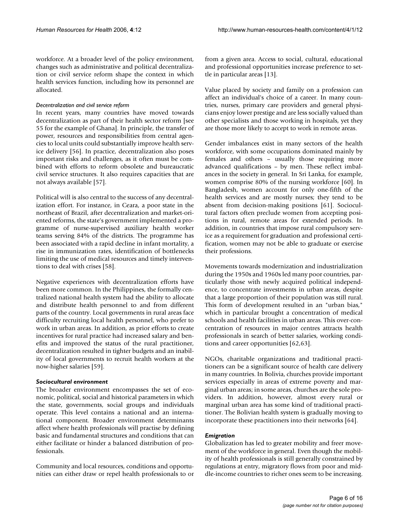workforce. At a broader level of the policy environment, changes such as administrative and political decentralization or civil service reform shape the context in which health services function, including how its personnel are allocated.

## *Decentralization and civil service reform*

In recent years, many countries have moved towards decentralization as part of their health sector reform [see 55 for the example of Ghana]. In principle, the transfer of power, resources and responsibilities from central agencies to local units could substantially improve health service delivery [56]. In practice, decentralization also poses important risks and challenges, as it often must be combined with efforts to reform obsolete and bureaucratic civil service structures. It also requires capacities that are not always available [57].

Political will is also central to the success of any decentralization effort. For instance, in Ceara, a poor state in the northeast of Brazil, after decentralization and market-oriented reforms, the state's government implemented a programme of nurse-supervised auxiliary health worker teams serving 84% of the districts. The programme has been associated with a rapid decline in infant mortality, a rise in immunization rates, identification of bottlenecks limiting the use of medical resources and timely interventions to deal with crises [58].

Negative experiences with decentralization efforts have been more common. In the Philippines, the formally centralized national health system had the ability to allocate and distribute health personnel to and from different parts of the country. Local governments in rural areas face difficulty recruiting local health personnel, who prefer to work in urban areas. In addition, as prior efforts to create incentives for rural practice had increased salary and benefits and improved the status of the rural practitioner, decentralization resulted in tighter budgets and an inability of local governments to recruit health workers at the now-higher salaries [59].

# *Sociocultural environment*

The broader environment encompasses the set of economic, political, social and historical parameters in which the state, governments, social groups and individuals operate. This level contains a national and an international component. Broader environment determinants affect where health professionals will practise by defining basic and fundamental structures and conditions that can either facilitate or hinder a balanced distribution of professionals.

Community and local resources, conditions and opportunities can either draw or repel health professionals to or from a given area. Access to social, cultural, educational and professional opportunities increase preference to settle in particular areas [13].

Value placed by society and family on a profession can affect an individual's choice of a career. In many countries, nurses, primary care providers and general physicians enjoy lower prestige and are less socially valued than other specialists and those working in hospitals, yet they are those more likely to accept to work in remote areas.

Gender imbalances exist in many sectors of the health workforce, with some occupations dominated mainly by females and others – usually those requiring more advanced qualifications – by men. These reflect imbalances in the society in general. In Sri Lanka, for example, women comprise 80% of the nursing workforce [60]. In Bangladesh, women account for only one-fifth of the health services and are mostly nurses; they tend to be absent from decision-making positions [61]. Sociocultural factors often preclude women from accepting positions in rural, remote areas for extended periods. In addition, in countries that impose rural compulsory service as a requirement for graduation and professional certification, women may not be able to graduate or exercise their professions.

Movements towards modernization and industrialization during the 1950s and 1960s led many poor countries, particularly those with newly acquired political independence, to concentrate investments in urban areas, despite that a large proportion of their population was still rural. This form of development resulted in an "urban bias," which in particular brought a concentration of medical schools and health facilities in urban areas. This over-concentration of resources in major centres attracts health professionals in search of better salaries, working conditions and career opportunities [62,63].

NGOs, charitable organizations and traditional practitioners can be a significant source of health care delivery in many countries. In Bolivia, churches provide important services especially in areas of extreme poverty and marginal urban areas; in some areas, churches are the sole providers. In addition, however, almost every rural or marginal urban area has some kind of traditional practitioner. The Bolivian health system is gradually moving to incorporate these practitioners into their networks [64].

# *Emigration*

Globalization has led to greater mobility and freer movement of the workforce in general. Even though the mobility of health professionals is still generally constrained by regulations at entry, migratory flows from poor and middle-income countries to richer ones seem to be increasing.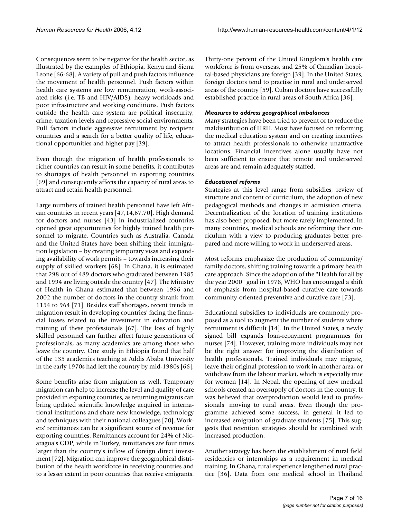Consequences seem to be negative for the health sector, as illustrated by the examples of Ethiopia, Kenya and Sierra Leone [66-68]. A variety of pull and push factors influence the movement of health personnel. Push factors within health care systems are low remuneration, work-associated risks (i.e. TB and HIV/AIDS), heavy workloads and poor infrastructure and working conditions. Push factors outside the health care system are political insecurity, crime, taxation levels and repressive social environments. Pull factors include aggressive recruitment by recipient countries and a search for a better quality of life, educational opportunities and higher pay [39].

Even though the migration of health professionals to richer countries can result in some benefits, it contributes to shortages of health personnel in exporting countries [69] and consequently affects the capacity of rural areas to attract and retain health personnel.

Large numbers of trained health personnel have left African countries in recent years [47,14,67,70]. High demand for doctors and nurses [43] in industrialized countries opened great opportunities for highly trained health personnel to migrate. Countries such as Australia, Canada and the United States have been shifting their immigration legislation – by creating temporary visas and expanding availability of work permits – towards increasing their supply of skilled workers [68]. In Ghana, it is estimated that 298 out of 489 doctors who graduated between 1985 and 1994 are living outside the country [47]. The Ministry of Health in Ghana estimated that between 1996 and 2002 the number of doctors in the country shrank from 1154 to 964 [71]. Besides staff shortages, recent trends in migration result in developing countries' facing the financial losses related to the investment in education and training of these professionals [67]. The loss of highly skilled personnel can further affect future generations of professionals, as many academics are among those who leave the country. One study in Ethiopia found that half of the 135 academics teaching at Addis Ababa University in the early 1970s had left the country by mid-1980s [66].

Some benefits arise from migration as well. Temporary migration can help to increase the level and quality of care provided in exporting countries, as returning migrants can bring updated scientific knowledge acquired in international institutions and share new knowledge, technology and techniques with their national colleagues [70]. Workers' remittances can be a significant source of revenue for exporting countries. Remittances account for 24% of Nicaragua's GDP, while in Turkey, remittances are four times larger than the country's inflow of foreign direct investment [72]. Migration can improve the geographical distribution of the health workforce in receiving countries and to a lesser extent in poor countries that receive emigrants.

Thirty-one percent of the United Kingdom's health care workforce is from overseas, and 25% of Canadian hospital-based physicians are foreign [39]. In the United States, foreign doctors tend to practise in rural and underserved areas of the country [59]. Cuban doctors have successfully established practice in rural areas of South Africa [36].

## *Measures to address geographical imbalances*

Many strategies have been tried to prevent or to reduce the maldistribution of HRH. Most have focused on reforming the medical education system and on creating incentives to attract health professionals to otherwise unattractive locations. Financial incentives alone usually have not been sufficient to ensure that remote and underserved areas are and remain adequately staffed.

# *Educational reforms*

Strategies at this level range from subsidies, review of structure and content of curriculum, the adoption of new pedagogical methods and changes in admission criteria. Decentralization of the location of training institutions has also been proposed, but more rarely implemented. In many countries, medical schools are reforming their curriculum with a view to producing graduates better prepared and more willing to work in underserved areas.

Most reforms emphasize the production of community/ family doctors, shifting training towards a primary health care approach. Since the adoption of the "Health for all by the year 2000" goal in 1978, WHO has encouraged a shift of emphasis from hospital-based curative care towards community-oriented preventive and curative care [73].

Educational subsidies to individuals are commonly proposed as a tool to augment the number of students where recruitment is difficult [14]. In the United States, a newly signed bill expands loan-repayment programmes for nurses [74]. However, training more individuals may not be the right answer for improving the distribution of health professionals. Trained individuals may migrate, leave their original profession to work in another area, or withdraw from the labour market, which is especially true for women [14]. In Nepal, the opening of new medical schools created an oversupply of doctors in the country. It was believed that overproduction would lead to professionals' moving to rural areas. Even though the programme achieved some success, in general it led to increased emigration of graduate students [75]. This suggests that retention strategies should be combined with increased production.

Another strategy has been the establishment of rural field residencies or internships as a requirement in medical training. In Ghana, rural experience lengthened rural practice [36]. Data from one medical school in Thailand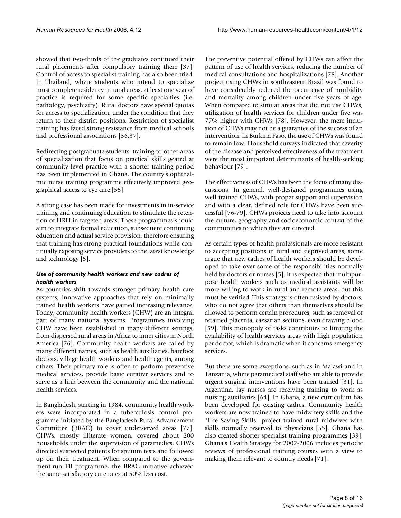showed that two-thirds of the graduates continued their rural placements after compulsory training there [37]. Control of access to specialist training has also been tried. In Thailand, where students who intend to specialize must complete residency in rural areas, at least one year of practice is required for some specific specialties (i.e. pathology, psychiatry). Rural doctors have special quotas for access to specialization, under the condition that they return to their district positions. Restriction of specialist training has faced strong resistance from medical schools and professional associations [36,37].

Redirecting postgraduate students' training to other areas of specialization that focus on practical skills geared at community level practice with a shorter training period has been implemented in Ghana. The country's ophthalmic nurse training programme effectively improved geographical access to eye care [55].

A strong case has been made for investments in in-service training and continuing education to stimulate the retention of HRH in targeted areas. These programmes should aim to integrate formal education, subsequent continuing education and actual service provision, therefore ensuring that training has strong practical foundations while continually exposing service providers to the latest knowledge and technology [5].

# *Use of community health workers and new cadres of health workers*

As countries shift towards stronger primary health care systems, innovative approaches that rely on minimally trained health workers have gained increasing relevance. Today, community health workers (CHW) are an integral part of many national systems. Programmes involving CHW have been established in many different settings, from dispersed rural areas in Africa to inner cities in North America [76]. Community health workers are called by many different names, such as health auxiliaries, barefoot doctors, village health workers and health agents, among others. Their primary role is often to perform preventive medical services, provide basic curative services and to serve as a link between the community and the national health services.

In Bangladesh, starting in 1984, community health workers were incorporated in a tuberculosis control programme initiated by the Bangladesh Rural Advancement Committee (BRAC) to cover underserved areas [77]. CHWs, mostly illiterate women, covered about 200 households under the supervision of paramedics. CHWs directed suspected patients for sputum tests and followed up on their treatment. When compared to the government-run TB programme, the BRAC initiative achieved the same satisfactory cure rates at 50% less cost.

The preventive potential offered by CHWs can affect the pattern of use of health services, reducing the number of medical consultations and hospitalizations [78]. Another project using CHWs in southeastern Brazil was found to have considerably reduced the occurrence of morbidity and mortality among children under five years of age. When compared to similar areas that did not use CHWs, utilization of health services for children under five was 77% higher with CHWs [78]. However, the mere inclusion of CHWs may not be a guarantee of the success of an intervention. In Burkina Faso, the use of CHWs was found to remain low. Household surveys indicated that severity of the disease and perceived effectiveness of the treatment were the most important determinants of health-seeking behaviour [79].

The effectiveness of CHWs has been the focus of many discussions. In general, well-designed programmes using well-trained CHWs, with proper support and supervision and with a clear, defined role for CHWs have been successful [76-79]. CHWs projects need to take into account the culture, geography and socioeconomic context of the communities to which they are directed.

As certain types of health professionals are more resistant to accepting positions in rural and deprived areas, some argue that new cadres of health workers should be developed to take over some of the responsibilities normally held by doctors or nurses [5]. It is expected that multipurpose health workers such as medical assistants will be more willing to work in rural and remote areas, but this must be verified. This strategy is often resisted by doctors, who do not agree that others than themselves should be allowed to perform certain procedures, such as removal of retained placenta, caesarian sections, even drawing blood [59]. This monopoly of tasks contributes to limiting the availability of health services areas with high population per doctor, which is dramatic when it concerns emergency services.

But there are some exceptions, such as in Malawi and in Tanzania, where paramedical staff who are able to provide urgent surgical interventions have been trained [31]. In Argentina, lay nurses are receiving training to work as nursing auxiliaries [64]. In Ghana, a new curriculum has been developed for existing cadres. Community health workers are now trained to have midwifery skills and the "Life Saving Skills" project trained rural midwives with skills normally reserved to physicians [55]. Ghana has also created shorter specialist training programmes [39]. Ghana's Health Strategy for 2002-2006 includes periodic reviews of professional training courses with a view to making them relevant to country needs [71].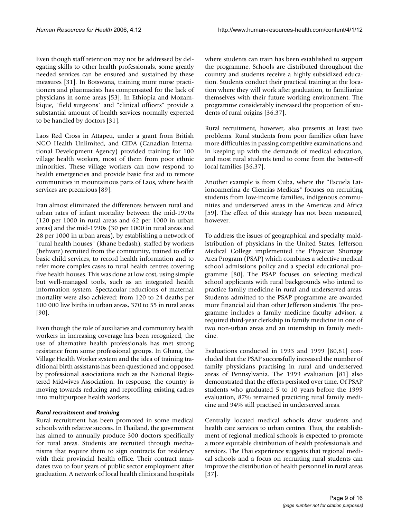Even though staff retention may not be addressed by delegating skills to other health professionals, some greatly needed services can be ensured and sustained by these measures [31]. In Botswana, training more nurse practitioners and pharmacists has compensated for the lack of physicians in some areas [53]. In Ethiopia and Mozambique, "field surgeons" and "clinical officers" provide a substantial amount of health services normally expected to be handled by doctors [31].

Laos Red Cross in Attapeu, under a grant from British NGO Health Unlimited, and CIDA (Canadian International Development Agency) provided training for 100 village health workers, most of them from poor ethnic minorities. These village workers can now respond to health emergencies and provide basic first aid to remote communities in mountainous parts of Laos, where health services are precarious [89].

Iran almost eliminated the differences between rural and urban rates of infant mortality between the mid-1970s (120 per 1000 in rural areas and 62 per 1000 in urban areas) and the mid-1990s (30 per 1000 in rural areas and 28 per 1000 in urban areas), by establishing a network of "rural health houses" (khane bedash), staffed by workers (behvarz) recruited from the community, trained to offer basic child services, to record health information and to refer more complex cases to rural health centres covering five health houses. This was done at low cost, using simple but well-managed tools, such as an integrated health information system. Spectacular reductions of maternal mortality were also achieved: from 120 to 24 deaths per 100 000 live births in urban areas, 370 to 55 in rural areas [90].

Even though the role of auxiliaries and community health workers in increasing coverage has been recognized, the use of alternative health professionals has met strong resistance from some professional groups. In Ghana, the Village Health Worker system and the idea of training traditional birth assistants has been questioned and opposed by professional associations such as the National Registered Midwives Association. In response, the country is moving towards reducing and reprofiling existing cadres into multipurpose health workers.

# *Rural recruitment and training*

Rural recruitment has been promoted in some medical schools with relative success. In Thailand, the government has aimed to annually produce 300 doctors specifically for rural areas. Students are recruited through mechanisms that require them to sign contracts for residency with their provincial health office. Their contract mandates two to four years of public sector employment after graduation. A network of local health clinics and hospitals

where students can train has been established to support the programme. Schools are distributed throughout the country and students receive a highly subsidized education. Students conduct their practical training at the location where they will work after graduation, to familiarize themselves with their future working environment. The programme considerably increased the proportion of students of rural origins [36,37].

Rural recruitment, however, also presents at least two problems. Rural students from poor families often have more difficulties in passing competitive examinations and in keeping up with the demands of medical education, and most rural students tend to come from the better-off local families [36,37].

Another example is from Cuba, where the "Escuela Lationoamerina de Ciencias Medicas" focuses on recruiting students from low-income families, indigenous communities and underserved areas in the Americas and Africa [59]. The effect of this strategy has not been measured, however.

To address the issues of geographical and specialty maldistribution of physicians in the United States, Jefferson Medical College implemented the Physician Shortage Area Program (PSAP) which combines a selective medical school admissions policy and a special educational programme [80]. The PSAP focuses on selecting medical school applicants with rural backgrounds who intend to practice family medicine in rural and underserved areas. Students admitted to the PSAP programme are awarded more financial aid than other Jefferson students. The programme includes a family medicine faculty advisor, a required third-year clerkship in family medicine in one of two non-urban areas and an internship in family medicine.

Evaluations conducted in 1993 and 1999 [80,81] concluded that the PSAP successfully increased the number of family physicians practising in rural and underserved areas of Pennsylvania. The 1999 evaluation [81] also demonstrated that the effects persisted over time. Of PSAP students who graduated 5 to 10 years before the 1999 evaluation, 87% remained practicing rural family medicine and 94% still practised in underserved areas.

Centrally located medical schools draw students and health care services to urban centres. Thus, the establishment of regional medical schools is expected to promote a more equitable distribution of health professionals and services. The Thai experience suggests that regional medical schools and a focus on recruiting rural students can improve the distribution of health personnel in rural areas [37].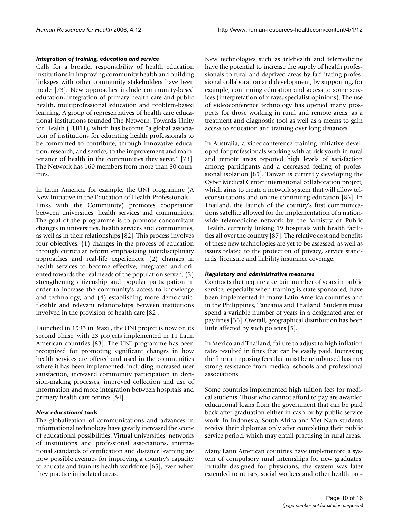## *Integration of training, education and service*

Calls for a broader responsibility of health education institutions in improving community health and building linkages with other community stakeholders have been made [73]. New approaches include community-based education, integration of primary health care and public health, multiprofessional education and problem-based learning. A group of representatives of health care educational institutions founded The Network: Towards Unity for Health (TUFH), which has become "a global association of institutions for educating health professionals to be committed to contribute, through innovative education, research, and service, to the improvement and maintenance of health in the communities they serve." [73]. The Network has 160 members from more than 80 countries.

In Latin America, for example, the UNI programme (A New Initiative in the Education of Health Professionals – Links with the Community) promotes cooperation between universities, health services and communities. The goal of the programme is to promote concomitant changes in universities, health services and communities, as well as in their relationships [82]. This process involves four objectives: (1) changes in the process of education through curricular reform emphasizing interdisciplinary approaches and real-life experiences; (2) changes in health services to become effective, integrated and oriented towards the real needs of the population served; (3) strengthening citizenship and popular participation in order to increase the community's access to knowledge and technology; and (4) establishing more democratic, flexible and relevant relationships between institutions involved in the provision of health care [82].

Launched in 1993 in Brazil, the UNI project is now on its second phase, with 23 projects implemented in 11 Latin American countries [83]. The UNI programme has been recognized for promoting significant changes in how health services are offered and used in the communities where it has been implemented, including increased user satisfaction, increased community participation in decision-making processes, improved collection and use of information and more integration between hospitals and primary health care centres [84].

#### *New educational tools*

The globalization of communications and advances in informational technology have greatly increased the scope of educational possibilities. Virtual universities, networks of institutions and professional associations, international standards of certification and distance learning are now possible avenues for improving a country's capacity to educate and train its health workforce [65], even when they practice in isolated areas.

New technologies such as telehealth and telemedicine have the potential to increase the supply of health professionals to rural and deprived areas by facilitating professional collaboration and development, by supporting, for example, continuing education and access to some services (interpretation of x-rays, specialist opinions). The use of videoconference technology has opened many prospects for those working in rural and remote areas, as a treatment and diagnostic tool as well as a means to gain access to education and training over long distances.

In Australia, a videoconference training initiative developed for professionals working with at-risk youth in rural and remote areas reported high levels of satisfaction among participants and a decreased feeling of professional isolation [85]. Taiwan is currently developing the Cyber Medical Center international collaboration project, which aims to create a network system that will allow teleconsultations and online continuing education [86]. In Thailand, the launch of the country's first communications satellite allowed for the implementation of a nationwide telemedicine network by the Ministry of Public Health, currently linking 19 hospitals with health facilities all over the country [87]. The relative cost and benefits of these new technologies are yet to be assessed, as well as issues related to the protection of privacy, service standards, licensure and liability insurance coverage.

#### *Regulatory and administrative measures*

Contracts that require a certain number of years in public service, especially when training is state-sponsored, have been implemented in many Latin America countries and in the Philippines, Tanzania and Thailand. Students must spend a variable number of years in a designated area or pay fines [36]. Overall, geographical distribution has been little affected by such policies [5].

In Mexico and Thailand, failure to adjust to high inflation rates resulted in fines that can be easily paid. Increasing the fine or imposing fees that must be reimbursed has met strong resistance from medical schools and professional associations.

Some countries implemented high tuition fees for medical students. Those who cannot afford to pay are awarded educational loans from the government that can be paid back after graduation either in cash or by public service work. In Indonesia, South Africa and Viet Nam students receive their diplomas only after completing their public service period, which may entail practising in rural areas.

Many Latin American countries have implemented a system of compulsory rural internships for new graduates. Initially designed for physicians, the system was later extended to nurses, social workers and other health pro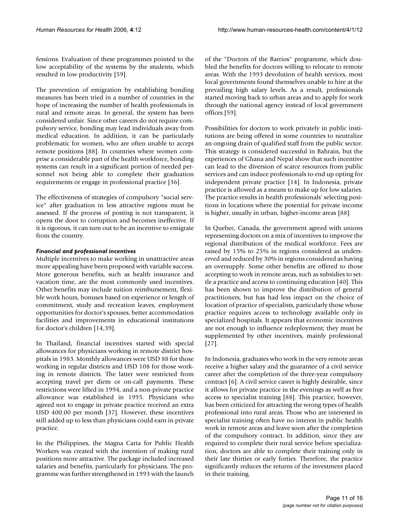fessions. Evaluation of these programmes pointed to the low acceptability of the systems by the students, which resulted in low productivity [59].

The prevention of emigration by establishing bonding measures has been tried in a number of countries in the hope of increasing the number of health professionals in rural and remote areas. In general, the system has been considered unfair. Since other careers do not require compulsory service, bonding may lead individuals away from medical education. In addition, it can be particularly problematic for women, who are often unable to accept remote positions [88]. In countries where women comprise a considerable part of the health workforce, bonding systems can result in a significant portion of needed personnel not being able to complete their graduation requirements or engage in professional practice [36].

The effectiveness of strategies of compulsory "social service" after graduation in less attractive regions must be assessed. If the process of posting is not transparent, it opens the door to corruption and becomes ineffective. If it is rigorous, it can turn out to be an incentive to emigrate from the country.

# *Financial and professional incentives*

Multiple incentives to make working in unattractive areas more appealing have been proposed with variable success. More generous benefits, such as health insurance and vacation time, are the most commonly used incentives. Other benefits may include tuition reimbursement, flexible work hours, bonuses based on experience or length of commitment, study and recreation leaves, employment opportunities for doctor's spouses, better accommodation facilities and improvements in educational institutions for doctor's children [14,39].

In Thailand, financial incentives started with special allowances for physicians working in remote district hospitals in 1983. Monthly allowances were USD 88 for those working in regular districts and USD 108 for those working in remote districts. The latter were restricted from accepting travel per diem or on-call payments. These restrictions were lifted in 1994, and a non-private practice allowance was established in 1995. Physicians who agreed not to engage in private practice received an extra USD 400.00 per month [37]. However, these incentives still added up to less than physicians could earn in private practice.

In the Philippines, the Magna Carta for Public Health Workers was created with the intention of making rural positions more attractive. The package included increased salaries and benefits, particularly for physicians. The programme was further strengthened in 1993 with the launch of the "Doctors of the Barrios" programme, which doubled the benefits for doctors willing to relocate to remote areas. With the 1993 devolution of health services, most local governments found themselves unable to hire at the prevailing high salary levels. As a result, professionals started moving back to urban areas and to apply for work through the national agency instead of local government offices [59].

Possibilities for doctors to work privately in public institutions are being offered in some countries to neutralize an ongoing drain of qualified staff from the public sector. This strategy is considered successful in Bahrain, but the experiences of Ghana and Nepal show that such incentive can lead to the diversion of scarce resources from public services and can induce professionals to end up opting for independent private practice [14]. In Indonesia, private practice is allowed as a means to make up for low salaries. The practice results in health professionals' selecting positions in locations where the potential for private income is higher, usually in urban, higher-income areas [88].

In Quebec, Canada, the government agreed with unions representing doctors on a mix of incentives to improve the regional distribution of the medical workforce. Fees are raised by 15% to 25% in regions considered as underserved and reduced by 30% in regions considered as having an oversupply. Some other benefits are offered to those accepting to work in remote areas, such as subsidies to settle a practice and access to continuing education [40]. This has been shown to improve the distribution of general practitioners, but has had less impact on the choice of location of practice of specialists, particularly those whose practice requires access to technology available only in specialized hospitals. It appears that economic incentives are not enough to influence redeployment; they must be supplemented by other incentives, mainly professional [27].

In Indonesia, graduates who work in the very remote areas receive a higher salary and the guarantee of a civil service career after the completion of the three-year compulsory contract [6]. A civil service career is highly desirable, since it allows for private practice in the evenings as well as free access to specialist training [88]. This practice, however, has been criticized for attracting the wrong types of health professional into rural areas. Those who are interested in specialist training often have no interest in public health work in remote areas and leave soon after the completion of the compulsory contract. In addition, since they are required to complete their rural service before specialization, doctors are able to complete their training only in their late thirties or early forties. Therefore, the practice significantly reduces the returns of the investment placed in their training.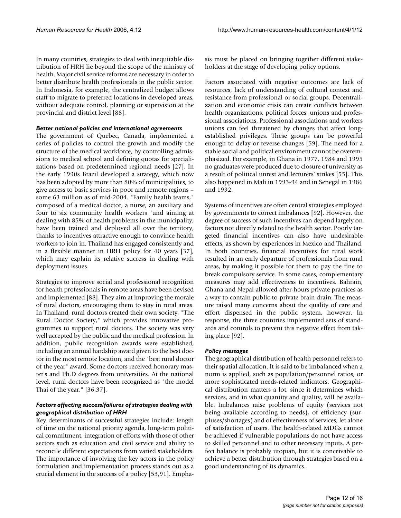In many countries, strategies to deal with inequitable distribution of HRH lie beyond the scope of the ministry of health. Major civil service reforms are necessary in order to better distribute health professionals in the public sector. In Indonesia, for example, the centralized budget allows staff to migrate to preferred locations in developed areas, without adequate control, planning or supervision at the provincial and district level [88].

#### *Better national policies and international agreements*

The government of Quebec, Canada, implemented a series of policies to control the growth and modify the structure of the medical workforce, by controlling admissions to medical school and defining quotas for specializations based on predetermined regional needs [27]. In the early 1990s Brazil developed a strategy, which now has been adopted by more than 80% of municipalities, to give access to basic services in poor and remote regions – some 63 million as of mid-2004. "Family health teams," composed of a medical doctor, a nurse, an auxiliary and four to six community health workers "and aiming at dealing with 85% of health problems in the municipality, have been trained and deployed all over the territory, thanks to incentives attractive enough to convince health workers to join in. Thailand has engaged consistently and in a flexible manner in HRH policy for 40 years [37], which may explain its relative success in dealing with deployment issues.

Strategies to improve social and professional recognition for health professionals in remote areas have been devised and implemented [88]. They aim at improving the morale of rural doctors, encouraging them to stay in rural areas. In Thailand, rural doctors created their own society, "The Rural Doctor Society," which provides innovative programmes to support rural doctors. The society was very well accepted by the public and the medical profession. In addition, public recognition awards were established, including an annual hardship award given to the best doctor in the most remote location, and the "best rural doctor of the year" award. Some doctors received honorary master's and Ph.D degrees from universities. At the national level, rural doctors have been recognized as "the model Thai of the year." [36,37].

## *Factors affecting success/failures of strategies dealing with geographical distribution of HRH*

Key determinants of successful strategies include: length of time on the national priority agenda, long-term political commitment, integration of efforts with those of other sectors such as education and civil service and ability to reconcile different expectations from varied stakeholders. The importance of involving the key actors in the policy formulation and implementation process stands out as a crucial element in the success of a policy [53,91]. Emphasis must be placed on bringing together different stakeholders at the stage of developing policy options.

Factors associated with negative outcomes are lack of resources, lack of understanding of cultural context and resistance from professional or social groups. Decentralization and economic crisis can create conflicts between health organizations, political forces, unions and professional associations. Professional associations and workers unions can feel threatened by changes that affect longestablished privileges. These groups can be powerful enough to delay or reverse changes [59]. The need for a stable social and political environment cannot be overemphasized. For example, in Ghana in 1977, 1984 and 1995 no graduates were produced due to closure of university as a result of political unrest and lecturers' strikes [55]. This also happened in Mali in 1993-94 and in Senegal in 1986 and 1992.

Systems of incentives are often central strategies employed by governments to correct imbalances [92]. However, the degree of success of such incentives can depend largely on factors not directly related to the health sector. Poorly targeted financial incentives can also have undesirable effects, as shown by experiences in Mexico and Thailand. In both countries, financial incentives for rural work resulted in an early departure of professionals from rural areas, by making it possible for them to pay the fine to break compulsory service. In some cases, complementary measures may add effectiveness to incentives. Bahrain, Ghana and Nepal allowed after-hours private practices as a way to contain public-to-private brain drain. The measure raised many concerns about the quality of care and effort dispensed in the public system, however. In response, the three countries implemented sets of standards and controls to prevent this negative effect from taking place [92].

## *Policy messages*

The geographical distribution of health personnel refers to their spatial allocation. It is said to be imbalanced when a norm is applied, such as population/personnel ratios, or more sophisticated needs-related indicators. Geographical distribution matters a lot, since it determines which services, and in what quantity and quality, will be available. Imbalances raise problems of equity (services not being available according to needs), of efficiency (surpluses/shortages) and of effectiveness of services, let alone of satisfaction of users. The health-related MDGs cannot be achieved if vulnerable populations do not have access to skilled personnel and to other necessary inputs. A perfect balance is probably utopian, but it is conceivable to achieve a better distribution through strategies based on a good understanding of its dynamics.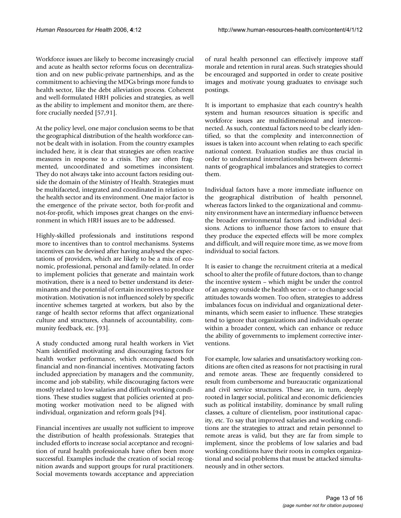Workforce issues are likely to become increasingly crucial and acute as health sector reforms focus on decentralization and on new public-private partnerships, and as the commitment to achieving the MDGs brings more funds to health sector, like the debt alleviation process. Coherent and well-formulated HRH policies and strategies, as well as the ability to implement and monitor them, are therefore crucially needed [57,91].

At the policy level, one major conclusion seems to be that the geographical distribution of the health workforce cannot be dealt with in isolation. From the country examples included here, it is clear that strategies are often reactive measures in response to a crisis. They are often fragmented, uncoordinated and sometimes inconsistent. They do not always take into account factors residing outside the domain of the Ministry of Health. Strategies must be multifaceted, integrated and coordinated in relation to the health sector and its environment. One major factor is the emergence of the private sector, both for-profit and not-for-profit, which imposes great changes on the environment in which HRH issues are to be addressed.

Highly-skilled professionals and institutions respond more to incentives than to control mechanisms. Systems incentives can be devised after having analysed the expectations of providers, which are likely to be a mix of economic, professional, personal and family-related. In order to implement policies that generate and maintain work motivation, there is a need to better understand its determinants and the potential of certain incentives to produce motivation. Motivation is not influenced solely by specific incentive schemes targeted at workers, but also by the range of health sector reforms that affect organizational culture and structures, channels of accountability, community feedback, etc. [93].

A study conducted among rural health workers in Viet Nam identified motivating and discouraging factors for health worker performance, which encompassed both financial and non-financial incentives. Motivating factors included appreciation by managers and the community, income and job stability, while discouraging factors were mostly related to low salaries and difficult working conditions. These studies suggest that policies oriented at promoting worker motivation need to be aligned with individual, organization and reform goals [94].

Financial incentives are usually not sufficient to improve the distribution of health professionals. Strategies that included efforts to increase social acceptance and recognition of rural health professionals have often been more successful. Examples include the creation of social recognition awards and support groups for rural practitioners. Social movements towards acceptance and appreciation

of rural health personnel can effectively improve staff morale and retention in rural areas. Such strategies should be encouraged and supported in order to create positive images and motivate young graduates to envisage such postings.

It is important to emphasize that each country's health system and human resources situation is specific and workforce issues are multidimensional and interconnected. As such, contextual factors need to be clearly identified, so that the complexity and interconnection of issues is taken into account when relating to each specific national context. Evaluation studies are thus crucial in order to understand interrelationships between determinants of geographical imbalances and strategies to correct them.

Individual factors have a more immediate influence on the geographical distribution of health personnel, whereas factors linked to the organizational and community environment have an intermediary influence between the broader environmental factors and individual decisions. Actions to influence those factors to ensure that they produce the expected effects will be more complex and difficult, and will require more time, as we move from individual to social factors.

It is easier to change the recruitment criteria at a medical school to alter the profile of future doctors, than to change the incentive system – which might be under the control of an agency outside the health sector – or to change social attitudes towards women. Too often, strategies to address imbalances focus on individual and organizational determinants, which seem easier to influence. These strategies tend to ignore that organizations and individuals operate within a broader context, which can enhance or reduce the ability of governments to implement corrective interventions.

For example, low salaries and unsatisfactory working conditions are often cited as reasons for not practising in rural and remote areas. These are frequently considered to result from cumbersome and bureaucratic organizational and civil service structures. These are, in turn, deeply rooted in larger social, political and economic deficiencies such as political instability, dominance by small ruling classes, a culture of clientelism, poor institutional capacity, etc. To say that improved salaries and working conditions are the strategies to attract and retain personnel to remote areas is valid, but they are far from simple to implement, since the problems of low salaries and bad working conditions have their roots in complex organizational and social problems that must be attacked simultaneously and in other sectors.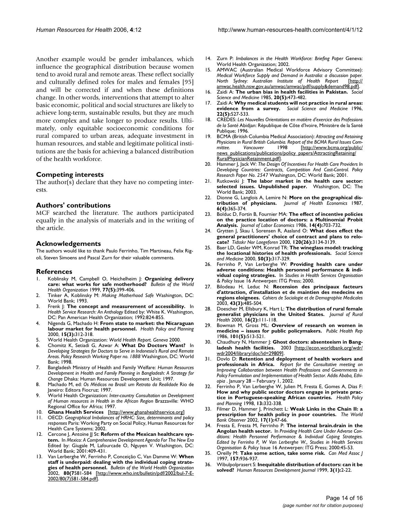Another example would be gender imbalances, which influence the geographical distribution because women tend to avoid rural and remote areas. These reflect socially and culturally defined roles for males and females [95] and will be corrected if and when these definitions change. In other words, interventions that attempt to alter basic economic, political and social structures are likely to achieve long-term, sustainable results, but they are much more complex and take longer to produce results. Ultimately, only equitable socioeconomic conditions for rural compared to urban areas, adequate investment in human resources, and stable and legitimate political institutions are the basis for achieving a balanced distribution of the health workforce.

## **Competing interests**

The author(s) declare that they have no competing interests.

## **Authors' contributions**

MCF searched the literature. The authors participated equally in the analysis of materials and in the writing of the article.

## **Acknowledgements**

The authors would like to thank Paulo Ferrinho, Tim Martineau, Felix Rigoli, Steven Simoens and Pascal Zurn for their valuable comments.

#### **References**

- 1. Koblinsky M, Campbell O, Heichelheim J: **[Organizing delivery](http://www.ncbi.nlm.nih.gov/entrez/query.fcgi?cmd=Retrieve&db=PubMed&dopt=Abstract&list_uids=10361757) [care: what works for safe motherhood?](http://www.ncbi.nlm.nih.gov/entrez/query.fcgi?cmd=Retrieve&db=PubMed&dopt=Abstract&list_uids=10361757)** *Bulletin of the World Health Organization* 1999, **77(5):**399-406.
- 2. Tinker A, Koblinsky M: *Making Motherhood Safe* Washington, DC: World Bank; 1993.
- 3. Frenk J: **The concept and measurement of accessibility.** In *Health Service Research: An Anthology* Edited by: White K. Washington, DC: Pan American Health Organization; 1992:824-855.
- 4. Nigenda G, Machado H: **From state to market: the Nicaraguan labour market for health personnel.** *Health Policy and Planning* 2000, **15(3):**312-318.
- 5. World Health Organization: *World Health Report. Geneva* 2000.
- 6. Chomitz K, Setiadi G, Azwar A: **What Do Doctors Want?** In *Developing Strategies for Doctors to Serve in Indonesia's Rural and Remote Areas. Policy Research Working Paper no. 1888* Washington, DC: World Bank; 1998.
- 7. Bangladesh Ministry of Health and Family Welfare: *Human Resources Development in Health and Family Planning in Bangladesh: A Strategy for Change* Dhaka: Human Resources Development Unit; 1997.
- 8. Machado M, ed: *Os Médicos no Brasil: um Retrato da Realidade* Rio de Janeiro: Editora Fiocruz; 1997.
- 9. World Health Organization: *Inter-country Consultation on Development of Human resources in Health in the African Region* Brazzaville: WHO Regional Office for Africa; 1997.
- 10. **Ghana Health Services** [<http://www.ghanahealthservice.org>]
- 11. OECD: *Geographical Imbalances of HRHC: Size, determinants and policy responses* Paris: Working Party on Social Policy, Human Resources for Health Care Systems; 2002.
- 12. Cercone J, Antoine JJ St: **Reform of the Mexican healthcare system.** In *Mexico: A Comprehensive Development Agenda For The New Era* Edited by: Giugale M, Lafourcade O, Nguyen V. Washington, DC: World Bank; 2001:409-431.
- 13. Van Lerberghe W, Ferrinho P, Conceição C, Van Damme W: **[When](http://www.ncbi.nlm.nih.gov/entrez/query.fcgi?cmd=Retrieve&db=PubMed&dopt=Abstract&list_uids=12163923) [staff is underpaid: dealing with the individual coping strate](http://www.ncbi.nlm.nih.gov/entrez/query.fcgi?cmd=Retrieve&db=PubMed&dopt=Abstract&list_uids=12163923)[gies of health personnel.](http://www.ncbi.nlm.nih.gov/entrez/query.fcgi?cmd=Retrieve&db=PubMed&dopt=Abstract&list_uids=12163923)** *Bulletin of the World Health Organization* 2002, **80(7**581-584 [[http://www.who.int/bulletin/pdf/2002/bul-7-E-](http://www.who.int/bulletin/pdf/2002/bul-7-E-2002/80(7)581-584.pdf)[2002/80\(7\)581-584.pdf\]](http://www.who.int/bulletin/pdf/2002/bul-7-E-2002/80(7)581-584.pdf).
- 14. Zurn P: *Imbalances in the Health Workforce: Briefing Paper* Geneva: World Health Organization; 2002.
- 15. AMWAC (Australian Medical Workforce Advisory Committee): *Medical Workforce Supply and Demand in Australia: a discussion paper. North Sydney: Australian Institute of Health Report* [\[http://](http://amwac.health.nsw.gov.au/amwac/amwac/pdf/supply&demand98.pdf) [amwac.health.nsw.gov.au/amwac/amwac/pdf/supply&demand98.pdf\]](http://amwac.health.nsw.gov.au/amwac/amwac/pdf/supply&demand98.pdf).
- 16. Zaidi A: **The urban bias in health facilities in Pakistan.** *Social Science and Medicine* 1985, **20(5):**473-482.
- 17. Zaidi A: **Why medical students will not practice in rural areas: evidence from a survey.** *Social Science and Medicine* 1996, **22(5):**527-533.
- 18. CREDES: *Les Nouvelles Orientations en matière d'exercice des Professions de la Santé* Abidjan: République de Côte d'Ivoire, Ministère de la Santé Publique; 1996.
- 19. BCMA (British Columbia Medical Association): *Attracting and Retaining Physicians in Rural British Columbia. Report of the BCMA Rural Issues Committee. Vancouver* 1998 [\[http://www.bcma.org/public/](http://www.bcma.org/public/news_publications/publications/policy_papers/AttractingRetaining/RuralPhysicianRetainment.pdf) [news\\_publications/publications/policy\\_papers/AttractingRetaining/](http://www.bcma.org/public/news_publications/publications/policy_papers/AttractingRetaining/RuralPhysicianRetainment.pdf) [RuralPhysicianRetainment.pdf](http://www.bcma.org/public/news_publications/publications/policy_papers/AttractingRetaining/RuralPhysicianRetainment.pdf)].
- 20. Hammer J, Jack W: *The Design Of Incentives For Health Care Providers In Developing Countries: Contracts, Competition And Cost-Control. Policy Research Paper No. 2547* Washington, DC: World Bank; 2001.
- 21. Rutkowski J: **The labor market in the health care sector: selected issues. Unpublished paper.** Washington, DC: The World Bank; 2003.
- 22. Dionne G, Langlois A, Lemire N: **[More on the geographical dis](http://www.ncbi.nlm.nih.gov/entrez/query.fcgi?cmd=Retrieve&db=PubMed&dopt=Abstract&list_uids=10285443)[tribution of physicians.](http://www.ncbi.nlm.nih.gov/entrez/query.fcgi?cmd=Retrieve&db=PubMed&dopt=Abstract&list_uids=10285443)** *Journal of Health Economics* 1987, **6(4):**365-374.
- 23. Bolduc D, Fortin B, Fournier MA: **The effect of incentive policies on the practice location of doctors: a Multinomial Probit Analysis.** *Journal of Labor Economics* 1986, **14(4):**703-732.
- 24. Grytten J, Skau I, Sorensen R, Aasland O: **[What does effect the](http://www.ncbi.nlm.nih.gov/entrez/query.fcgi?cmd=Retrieve&db=PubMed&dopt=Abstract&list_uids=11109359) [general practitioners' choice of contract and plans to relo](http://www.ncbi.nlm.nih.gov/entrez/query.fcgi?cmd=Retrieve&db=PubMed&dopt=Abstract&list_uids=11109359)[cate?](http://www.ncbi.nlm.nih.gov/entrez/query.fcgi?cmd=Retrieve&db=PubMed&dopt=Abstract&list_uids=11109359)** *Tidsskr Nor Laegeforen* 2000, **120(26):**3134-3139.
- 25. Baer LD, Gesler WM, Konrad TR: **The wineglass model: tracking the locational histories of health professionals.** *Social Science and Medicine* 2000, **50(3):**317-329.
- 26. Ferrinho P, Van Lerberghe W: **Providing health care under adverse conditions: Health personnel performance & individual coping strategies.** In *Studies in Health Services Organisation & Policy* Issue 16 Antwerpen: ITG Press; 2000.
- 27. Bilodeau H, Leduc N: **[Recension des principaux facteurs](http://www.ncbi.nlm.nih.gov/entrez/query.fcgi?cmd=Retrieve&db=PubMed&dopt=Abstract&list_uids=14669643) [d'attraction, d'installation et de maintien des medecins en](http://www.ncbi.nlm.nih.gov/entrez/query.fcgi?cmd=Retrieve&db=PubMed&dopt=Abstract&list_uids=14669643) [regions eloignees.](http://www.ncbi.nlm.nih.gov/entrez/query.fcgi?cmd=Retrieve&db=PubMed&dopt=Abstract&list_uids=14669643)** *Cahiers de Sociologie et de Demographie Medicales* 2003, **43(3):**485-504.
- 28. Doescher M, Ellsbury K, Hart L: **[The distribution of rural female](http://www.ncbi.nlm.nih.gov/entrez/query.fcgi?cmd=Retrieve&db=PubMed&dopt=Abstract&list_uids=10981362) [generalist physicians in the United States.](http://www.ncbi.nlm.nih.gov/entrez/query.fcgi?cmd=Retrieve&db=PubMed&dopt=Abstract&list_uids=10981362)** *Journal of Rural Health* 2000, **16(2):**111-118.
- 29. Bowman M, Gross ML: **[Overview of research on women in](http://www.ncbi.nlm.nih.gov/entrez/query.fcgi?cmd=Retrieve&db=PubMed&dopt=Abstract&list_uids=3094083) [medicine – issues for public policymakers.](http://www.ncbi.nlm.nih.gov/entrez/query.fcgi?cmd=Retrieve&db=PubMed&dopt=Abstract&list_uids=3094083)** *Public Health Rep* 1986, **101(5):**513-521.
- 30. Chaudhury N, Hammer J: Ghost doctors: absenteeism in Bang**ladesh health facilities.** 2003 [\[http://econ.worldbank.org/wdr/](http://econ.worldbank.org/wdr/wdr2004/library/doc?id=29809) [wdr2004/library/doc?id=29809](http://econ.worldbank.org/wdr/wdr2004/library/doc?id=29809)].
- 31. Dovlo D: **Retention and deployment of health workers and professionals in Africa.** *Report for the Consultative meeting on Improving Collaboration between Health Professions and Governments in Policy Formulation and Implementation of Health Sector. Addis Ababa, Ethiopia* . January 28 – February 1, 2002.
- 32. Ferrinho P, Van Lerberghe W, Julien M, Fresta E, Gomes A, Dias F: **How and why public sector doctors engage in private practice in Portuguese-speaking African countries.** *Health Policy and Planning* 1998, **13:**332-338.
- 33. Filmer D, Hammer J, Princhett L: **Weak Links in the Chain II: a prescription for health policy in poor countries.** *The World Bank Observer* 2002, **17(1):**47-66.
- 34. Fresta E, Fresta M, Ferrinho P: **The internal brain.drain in the Angolan health sector.** In *Providing Health Care Under Adverse Conditions: Health Personnel Performance & Individual Coping Strategies. Edited by Ferrinho P, W Van Lerberghe W., Studies in Health Services Organisation & Policy* Issue 16 Antwerpen: ITG Press; 2000:45-53.
- 35. Oreilly M: **Take some action, take some risk.** *Can Med Assoc J* 1997, **157:**936-937.
- 36. Wibulpolprasert S: **Inequitable distribution of doctors: can it be solved?** *Human Resources Development Journal* 1999, **3(1):**2-22.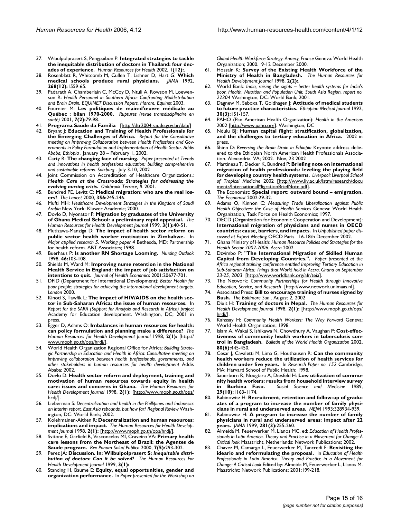- 37. Wibulpolprasert S, Pengpaibon P: **Integrated strategies to tackle the inequitable distribution of doctors in Thailand: four decades of experience.** *Human Resources for Health* 2002, **1(12):**.
- 38. Rosenblatt R, Whitcomb M, Cullen T, Lishner D, Hart G: **[Which](http://www.ncbi.nlm.nih.gov/entrez/query.fcgi?cmd=Retrieve&db=PubMed&dopt=Abstract&list_uids=1308662) [medical schools produce rural physicians.](http://www.ncbi.nlm.nih.gov/entrez/query.fcgi?cmd=Retrieve&db=PubMed&dopt=Abstract&list_uids=1308662)** *JAMA* 1992, **268(12):**1559-65.
- 39. Padarath A, Chamberlain C, McCoy D, Ntuli A, Rowson M, Loewenson R: *Health Personnel in Southern Africa: Confronting Maldistribution and Brain Drain. EQUINET Discussion Papers, Harare, Equinet* 2003.
- 40. Fournier M: **Les politiques de main-d'œuvre médicale au Québec : bilan 1970-2000.** *Ruptures (revue transdisciplinaire en santé)* 2001, **7(2):**79-98.
- 41. **Programa Saude da Familia** [[http://dtr2004.saude.gov.br/dab/\]](http://dtr2004.saude.gov.br/dab/)
- 42. Bryant J: **Education and Training of Health Professionals for the Emerging Challenges of Africa.** *Report for the Consultative meeting on Improving Collaboration between Health Professions and Governments in Policy Formulation and Implementation of Health Sector. Addis Ababa, Ethiopia* . January 28 – February 1, 2002.
- 43. Carty R: **The changing face of nursing.** *Paper presented at Trends and innovations in health professions education: building comprehensive and sustainable reforms. Salzburg* . July 3-10, 2002
- Joint Commission on Accreditation of Healthcare Organizations.: *Health Care at the Crossroads: Strategies for addressing the evolving nursing crisis***.** *Oakbrook Terrace, IL* 2001.
- 45. Bundred PE, Levitt C: **Medical migration: who are the real losers?** *The Lancet* 2000, **356:**245-246.
- 46. Mufti MH: *Healthcare Development Strategies in the Kingdom of Saudi Arabia* New York: Kluwer Academic; 2000.
- 47. Dovlo D, Nyonator F: **Migration by graduates of the University of Ghana Medical School: a preliminary rapid appraisal.** *The Human Resources for Health Development Journal* 1999, **3(1):**40-51.
- 48. Mutizawa-Manziga D: **The impact of health sector reform on public sector health worker motivation in Zimbabwe.** In *Major applied research 5. Working paper 4* Bethesda, MD: Partnership for health reform. ABT Associates; 1998.
- 49. Buerhaus P: **[Is another RN Shortage Looming.](http://www.ncbi.nlm.nih.gov/entrez/query.fcgi?cmd=Retrieve&db=PubMed&dopt=Abstract&list_uids=9648133)** *Nursing Outlook* 1998, **46:**103-108.
- 50. Shields M, Ward M: **Improving nurse retention in the National Health Service in England: the impact of job satisfaction on intentions to quit.** *Journal of Health Economics* 2001:20677-701.
- 51. DFID (Department for International Development): *Better Health for poor people: strategies for achieving the international development targets. London* 2000.
- 52. Kinoti S, Tawfik L: **The impact of HIV/AIDS on the health sector in Sub-Saharan Africa: the issue of human resources.** In *Report for the SARA (Support for Analysis and Research in Africa) project* Academy for Education development. Washington, DC; 2001 in press.
- 53. Egger D, Adams O: **Imbalances in human resources for health: can policy formulation and planning make a difference?** *The Human Resources for Health Development Journal* 1998, **2(1):** [[http://](http://www.moph.go.th/ops/hrdj/) [www.moph.go.th/ops/hrdj/\]](http://www.moph.go.th/ops/hrdj/).
- 54. World Health Organization Regional Office for Africa: *Building Strategic Partnership in Education and Health in Africa: Consultative meeting on improving collaboration between health professionals, governments, and other stakeholders in human resources for health development* Addis Ababa; 2002.
- 55. Dovlo D: **Health sector reform and deployment, training and motivation of human resources towards equity in health care: issues and concerns in Ghana.** *The Human Resources for Health Development Journal* 1998, **2(1):** [[http://www.moph.go.th/ops/](http://www.moph.go.th/ops/hrdj/) [hrdj/](http://www.moph.go.th/ops/hrdj/)].
- 56. Lieberman S: *Decentralization and health in the Phillipines and Indonesia: an interim report. East Asia rebounds, but how far? Regional Review* Washington, DC: World Bank; 2002.
- 57. Kolehmainen-Aitken R: **Decentralization and human resources: implications and impact.** *The Human Resources for Health Development Journal* 1998, **2(1):** [<http://www.moph.go.th/ops/hrdj/>].
- 58. Svitone E, Garfield R, Vasconcelos MI, Craveiro VA: **[Primary health](http://www.ncbi.nlm.nih.gov/entrez/query.fcgi?cmd=Retrieve&db=PubMed&dopt=Abstract&list_uids=10893969) [care lessons from the Northeast of Brazil: the Agentes de](http://www.ncbi.nlm.nih.gov/entrez/query.fcgi?cmd=Retrieve&db=PubMed&dopt=Abstract&list_uids=10893969) [Saude program.](http://www.ncbi.nlm.nih.gov/entrez/query.fcgi?cmd=Retrieve&db=PubMed&dopt=Abstract&list_uids=10893969)** *Rev Panam Salud Publica* 2000, **7(5):**293-302.
- 59. Perez JA: **Discussion. In: Wilbulpolprasert S:** *Inequitable distribution of doctors: Can it be solved? The Human Resources For Health Development Journal* 1999, **3(1):**.
- 60. Standing H, Baume E: **Equity, equal opportunities, gender and organization performance.** In *Paper presented for the Workshop on*

*Global Health Workforce Strategy: Annecy, France* Geneva: World Health Organization; 2000. 9-12 December 2000.

- 61. Hossain K: **Survey of the Existing Health Workforce of the Ministry of Health in Bangladesh.** *The Human Resources for Health Development Journal* 1998, **2(2):**.
- 62. World Bank: *India, raising the sights better health systems for India's poor. Health, Nutrition and Population Unit, South Asia Region, report no. 22304* Washington, DC: World Bank; 2001.
- 63. Dagnew M, Seboxa T, Goldhagen J: **[Attitude of medical students](http://www.ncbi.nlm.nih.gov/entrez/query.fcgi?cmd=Retrieve&db=PubMed&dopt=Abstract&list_uids=1396617) [to future practice characteristics.](http://www.ncbi.nlm.nih.gov/entrez/query.fcgi?cmd=Retrieve&db=PubMed&dopt=Abstract&list_uids=1396617)** *Ethiopian Medical Journal* 1992, **30(3):**151-157.
- 64. PAHO (Pan American Health Organization): *Health in the Americas* 2002 [<http://www.paho.org>]. Washington, DC
- 65. Ndulu BJ: **Human capital flight: stratification, globalization, and the challenges to tertiary education in Africa.** 2002 in press.
- 66. Shinn D: *Reversing the Brain Drain in Ethiopia* Keynote address delivered to the Ethiopian North American Health Professionals Association. Alexandria, VA; 2002. Nov, 23 2002
- 67. Martineau T, Decker K, Bundred P: **Briefing note on international migration of health professionals: leveling the playing field for developing country health systems.** *Liverpool: Liverpool School of Tropical Medicine* 2002 [[http://www.liv.ac.uk/lstm/research/docu](http://www.liv.ac.uk/lstm/research/documents/InternationalMigrationBriefNote.pdf) [ments/InternationalMigrationBriefNote.pdf](http://www.liv.ac.uk/lstm/research/documents/InternationalMigrationBriefNote.pdf)].
- 68. The Economist: **Special report: outward bound emigration.** *The Economist* 2002:29-32.
- 69. Adams O, Kinnon C: *Measuring Trade Liberalization against Public Health Objectives: the Case of Health Services* Geneva: World Health Organization, Task Force on Health Economics; 1997.
- 70. OECD (Organization for Economic Cooperation and Development): **International migration of physicians and nurses in OECD countries: cause, barriers, and impacts.** In *Unpublished paper discussed at Expert Meeting* OECD Paris. 16-18th December 2002.
- 71. Ghana Ministry of Health: *Human Resource Policies and Strategies for the Health Sector 2002-2006. Accra* 2002.
- 72. Dzvimbo P: **"The International Migration of Skilled Human Capital from Developing Countries.".** *Paper presented at the Africa regional training conference entitled Improving Tertiary Education in Sub-Saharan Africa: Things that Work! held in Accra, Ghana on September 23-25, 2003* [\[http://www.worldbank.org/afr/teia\]](http://www.worldbank.org/afr/teia).
- 73. The Network: *Community Partnerships for Health through Innovative Education, Service, and Research* [[http://www.network.unimaas.nl\]](http://www.network.unimaas.nl).
- 74. Associated Press: **Bill to encourage training of nurses signed by** Bush. The Baltimore Sun . August 2, 2002
- 75. Dixit H: **Training of doctors in Nepal.** *The Human Resources for Health Development Journal* 1998, **2(1):** [[http://www.moph.go.th/ops/](http://www.moph.go.th/ops/hrdj/) [hrdj/](http://www.moph.go.th/ops/hrdj/)].
- 76. Kahssay H: *Community Health Workers: The Way Forward* Geneva: World Health Organization; 1998.
- 77. Islam A, Wakai S, Ishikawa N, Chowdhury A, Vaughan P: **[Cost-effec](http://www.ncbi.nlm.nih.gov/entrez/query.fcgi?cmd=Retrieve&db=PubMed&dopt=Abstract&list_uids=12132000)[tiveness of community health workers in tuberculosis con](http://www.ncbi.nlm.nih.gov/entrez/query.fcgi?cmd=Retrieve&db=PubMed&dopt=Abstract&list_uids=12132000)[trol in Bangladesh.](http://www.ncbi.nlm.nih.gov/entrez/query.fcgi?cmd=Retrieve&db=PubMed&dopt=Abstract&list_uids=12132000)** *Bulletin of the World Health Organization* 2002, **80(6):**445-450.
- 78. Cesar J, Cavaletti M, Lima G, Houthausen R: **Can the community health workers reduce the utilization of health services for children under five years.** In *Research Paper no. 152* Cambridge, MA: Harvard School of Public Health; 1998.
- Sauerborn R, Nougtara A, Diesfeld H: Low utilization of commu**nity health workers: results from household interview survey in Burkina Faso.** *Social Science and Medicine* 1989, **29(10):**1163-1174.
- 80. Rabinowitz H: **Recruitment, retention and follow-up of graduates of a program to increase the number of family physicians in rural and underserved areas.** *NEJM* 1993:328934-939.
- Rabinowitz H: [A program to increase the number of family](http://www.ncbi.nlm.nih.gov/entrez/query.fcgi?cmd=Retrieve&db=PubMed&dopt=Abstract&list_uids=9918481) **[physicians in rural and underserved areas: impact after 22](http://www.ncbi.nlm.nih.gov/entrez/query.fcgi?cmd=Retrieve&db=PubMed&dopt=Abstract&list_uids=9918481) [years.](http://www.ncbi.nlm.nih.gov/entrez/query.fcgi?cmd=Retrieve&db=PubMed&dopt=Abstract&list_uids=9918481)** *JAMA* 1999, **281(3):**255-260.
- 82. Almeida M, Feuerwerker M, Llanos MC, ed: *Education of Health Professionals in Latin America. Theory and Practice in a Movement for Change: A Critical look* Maastricht, Netherlands: Network Publications; 2002.
- 83. Chavez M, Camargo L, Feuerwerker M, Tancredi F: **Revisiting the ideario and reformulating the proposal.** In *Education of Health Professionals in Latin America. Theory and Practice in a Movement for Change: A Critical Look* Edited by: Almeida M, Feuerwerker L, Llanos M. Maastricht: Network Publications; 2001:199-218.